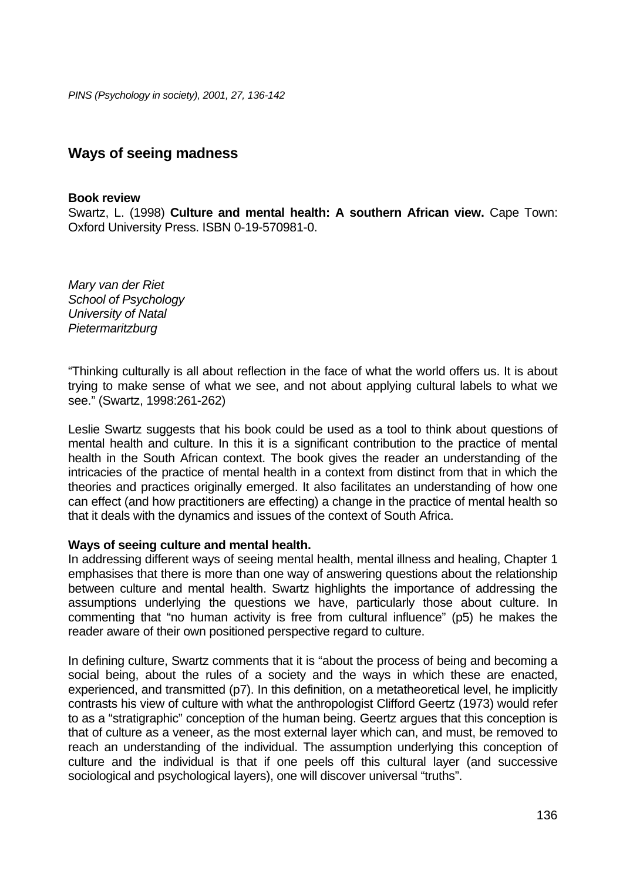*PINS (Psychology in society), 2001, 27, 136-142*

# **Ways of seeing madness**

#### **Book review**

Swartz, L. (1998) **Culture and mental health: A southern African view.** Cape Town: Oxford University Press. ISBN 0-19-570981-0.

*Mary van der Riet School of Psychology University of Natal Pietermaritzburg* 

"Thinking culturally is all about reflection in the face of what the world offers us. It is about trying to make sense of what we see, and not about applying cultural labels to what we see." (Swartz, 1998:261-262)

Leslie Swartz suggests that his book could be used as a tool to think about questions of mental health and culture. In this it is a significant contribution to the practice of mental health in the South African context. The book gives the reader an understanding of the intricacies of the practice of mental health in a context from distinct from that in which the theories and practices originally emerged. It also facilitates an understanding of how one can effect (and how practitioners are effecting) a change in the practice of mental health so that it deals with the dynamics and issues of the context of South Africa.

## **Ways of seeing culture and mental health.**

In addressing different ways of seeing mental health, mental illness and healing, Chapter 1 emphasises that there is more than one way of answering questions about the relationship between culture and mental health. Swartz highlights the importance of addressing the assumptions underlying the questions we have, particularly those about culture. In commenting that "no human activity is free from cultural influence" (p5) he makes the reader aware of their own positioned perspective regard to culture.

In defining culture, Swartz comments that it is "about the process of being and becoming a social being, about the rules of a society and the ways in which these are enacted, experienced, and transmitted (p7). In this definition, on a metatheoretical level, he implicitly contrasts his view of culture with what the anthropologist Clifford Geertz (1973) would refer to as a "stratigraphic" conception of the human being. Geertz argues that this conception is that of culture as a veneer, as the most external layer which can, and must, be removed to reach an understanding of the individual. The assumption underlying this conception of culture and the individual is that if one peels off this cultural layer (and successive sociological and psychological layers), one will discover universal "truths".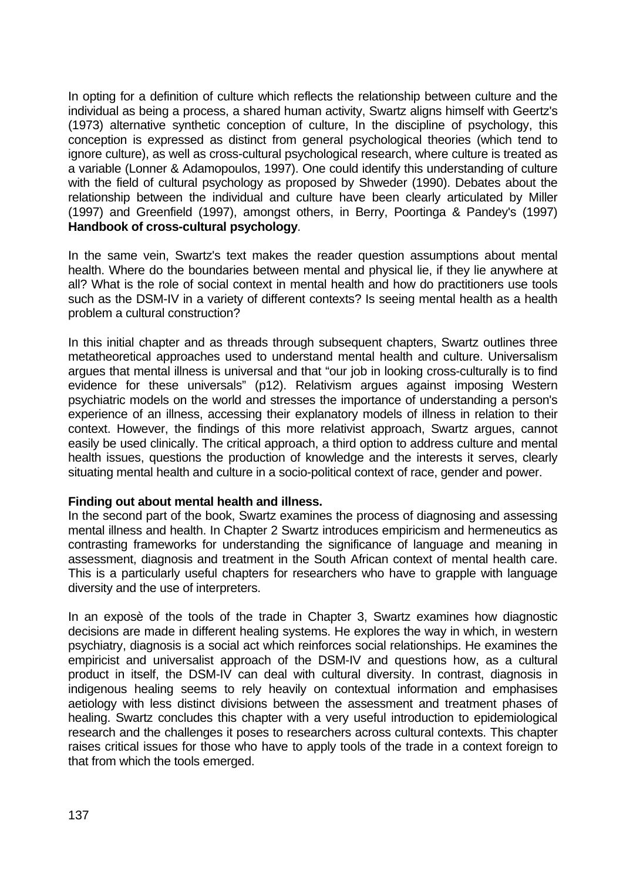In opting for a definition of culture which reflects the relationship between culture and the individual as being a process, a shared human activity, Swartz aligns himself with Geertz's (1973) alternative synthetic conception of culture, In the discipline of psychology, this conception is expressed as distinct from general psychological theories (which tend to ignore culture), as well as cross-cultural psychological research, where culture is treated as a variable (Lonner & Adamopoulos, 1997). One could identify this understanding of culture with the field of cultural psychology as proposed by Shweder (1990). Debates about the relationship between the individual and culture have been clearly articulated by Miller (1997) and Greenfield (1997), amongst others, in Berry, Poortinga & Pandey's (1997) **Handbook of cross-cultural psychology**.

In the same vein, Swartz's text makes the reader question assumptions about mental health. Where do the boundaries between mental and physical lie, if they lie anywhere at all? What is the role of social context in mental health and how do practitioners use tools such as the DSM-IV in a variety of different contexts? Is seeing mental health as a health problem a cultural construction?

In this initial chapter and as threads through subsequent chapters, Swartz outlines three metatheoretical approaches used to understand mental health and culture. Universalism argues that mental illness is universal and that "our job in looking cross-culturally is to find evidence for these universals" (p12). Relativism argues against imposing Western psychiatric models on the world and stresses the importance of understanding a person's experience of an illness, accessing their explanatory models of illness in relation to their context. However, the findings of this more relativist approach, Swartz argues, cannot easily be used clinically. The critical approach, a third option to address culture and mental health issues, questions the production of knowledge and the interests it serves, clearly situating mental health and culture in a socio-political context of race, gender and power.

## **Finding out about mental health and illness.**

In the second part of the book, Swartz examines the process of diagnosing and assessing mental illness and health. In Chapter 2 Swartz introduces empiricism and hermeneutics as contrasting frameworks for understanding the significance of language and meaning in assessment, diagnosis and treatment in the South African context of mental health care. This is a particularly useful chapters for researchers who have to grapple with language diversity and the use of interpreters.

In an exposè of the tools of the trade in Chapter 3, Swartz examines how diagnostic decisions are made in different healing systems. He explores the way in which, in western psychiatry, diagnosis is a social act which reinforces social relationships. He examines the empiricist and universalist approach of the DSM-IV and questions how, as a cultural product in itself, the DSM-IV can deal with cultural diversity. In contrast, diagnosis in indigenous healing seems to rely heavily on contextual information and emphasises aetiology with less distinct divisions between the assessment and treatment phases of healing. Swartz concludes this chapter with a very useful introduction to epidemiological research and the challenges it poses to researchers across cultural contexts. This chapter raises critical issues for those who have to apply tools of the trade in a context foreign to that from which the tools emerged.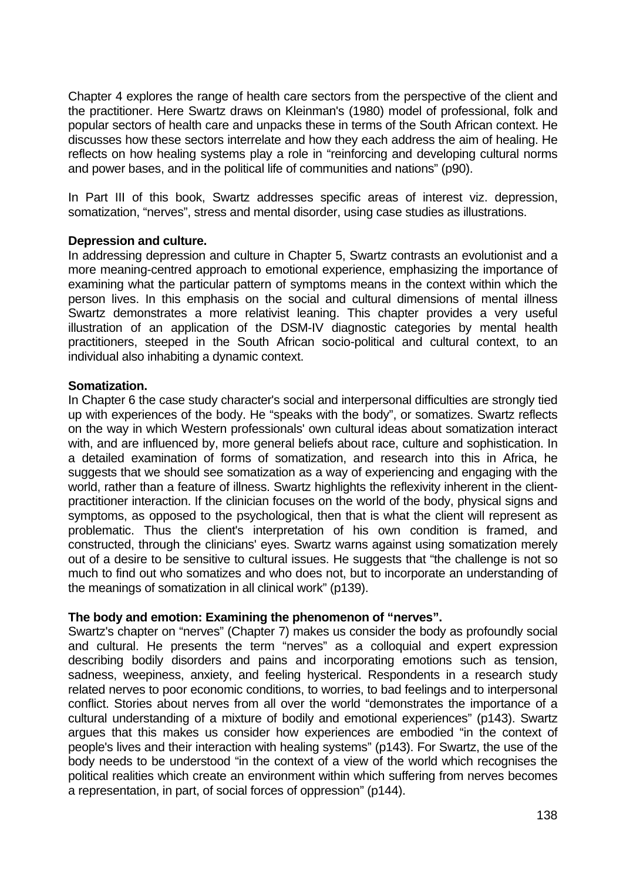Chapter 4 explores the range of health care sectors from the perspective of the client and the practitioner. Here Swartz draws on Kleinman's (1980) model of professional, folk and popular sectors of health care and unpacks these in terms of the South African context. He discusses how these sectors interrelate and how they each address the aim of healing. He reflects on how healing systems play a role in "reinforcing and developing cultural norms and power bases, and in the political life of communities and nations" (p90).

In Part III of this book, Swartz addresses specific areas of interest viz. depression, somatization, "nerves", stress and mental disorder, using case studies as illustrations.

## **Depression and culture.**

In addressing depression and culture in Chapter 5, Swartz contrasts an evolutionist and a more meaning-centred approach to emotional experience, emphasizing the importance of examining what the particular pattern of symptoms means in the context within which the person lives. In this emphasis on the social and cultural dimensions of mental illness Swartz demonstrates a more relativist leaning. This chapter provides a very useful illustration of an application of the DSM-IV diagnostic categories by mental health practitioners, steeped in the South African socio-political and cultural context, to an individual also inhabiting a dynamic context.

## **Somatization.**

In Chapter 6 the case study character's social and interpersonal difficulties are strongly tied up with experiences of the body. He "speaks with the body", or somatizes. Swartz reflects on the way in which Western professionals' own cultural ideas about somatization interact with, and are influenced by, more general beliefs about race, culture and sophistication. In a detailed examination of forms of somatization, and research into this in Africa, he suggests that we should see somatization as a way of experiencing and engaging with the world, rather than a feature of illness. Swartz highlights the reflexivity inherent in the clientpractitioner interaction. If the clinician focuses on the world of the body, physical signs and symptoms, as opposed to the psychological, then that is what the client will represent as problematic. Thus the client's interpretation of his own condition is framed, and constructed, through the clinicians' eyes. Swartz warns against using somatization merely out of a desire to be sensitive to cultural issues. He suggests that "the challenge is not so much to find out who somatizes and who does not, but to incorporate an understanding of the meanings of somatization in all clinical work" (p139).

## **The body and emotion: Examining the phenomenon of "nerves".**

Swartz's chapter on "nerves" (Chapter 7) makes us consider the body as profoundly social and cultural. He presents the term "nerves" as a colloquial and expert expression describing bodily disorders and pains and incorporating emotions such as tension, sadness, weepiness, anxiety, and feeling hysterical. Respondents in a research study related nerves to poor economic conditions, to worries, to bad feelings and to interpersonal conflict. Stories about nerves from all over the world "demonstrates the importance of a cultural understanding of a mixture of bodily and emotional experiences" (p143). Swartz argues that this makes us consider how experiences are embodied "in the context of people's lives and their interaction with healing systems" (p143). For Swartz, the use of the body needs to be understood "in the context of a view of the world which recognises the political realities which create an environment within which suffering from nerves becomes a representation, in part, of social forces of oppression" (p144).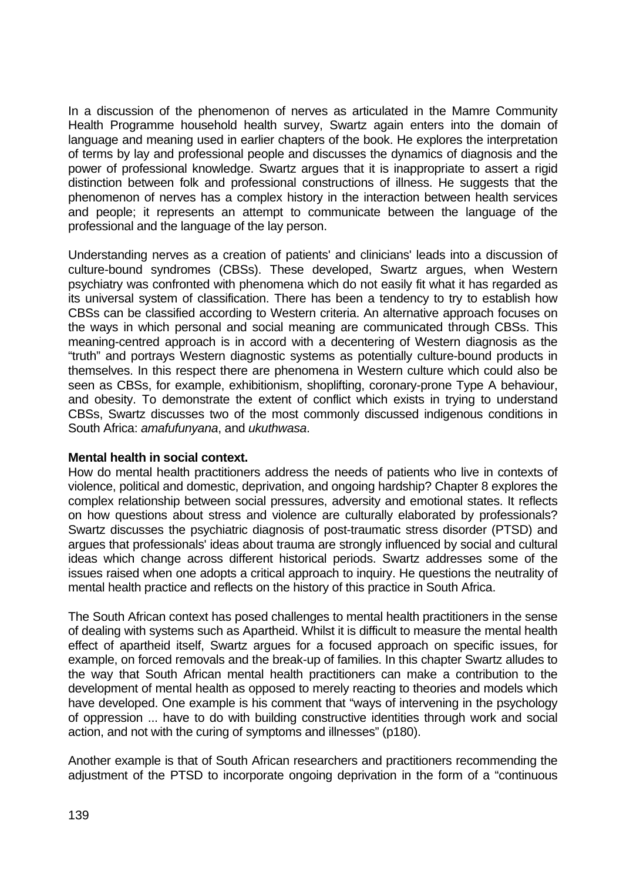In a discussion of the phenomenon of nerves as articulated in the Mamre Community Health Programme household health survey, Swartz again enters into the domain of language and meaning used in earlier chapters of the book. He explores the interpretation of terms by lay and professional people and discusses the dynamics of diagnosis and the power of professional knowledge. Swartz argues that it is inappropriate to assert a rigid distinction between folk and professional constructions of illness. He suggests that the phenomenon of nerves has a complex history in the interaction between health services and people; it represents an attempt to communicate between the language of the professional and the language of the lay person.

Understanding nerves as a creation of patients' and clinicians' leads into a discussion of culture-bound syndromes (CBSs). These developed, Swartz argues, when Western psychiatry was confronted with phenomena which do not easily fit what it has regarded as its universal system of classification. There has been a tendency to try to establish how CBSs can be classified according to Western criteria. An alternative approach focuses on the ways in which personal and social meaning are communicated through CBSs. This meaning-centred approach is in accord with a decentering of Western diagnosis as the "truth" and portrays Western diagnostic systems as potentially culture-bound products in themselves. In this respect there are phenomena in Western culture which could also be seen as CBSs, for example, exhibitionism, shoplifting, coronary-prone Type A behaviour, and obesity. To demonstrate the extent of conflict which exists in trying to understand CBSs, Swartz discusses two of the most commonly discussed indigenous conditions in South Africa: *amafufunyana*, and *ukuthwasa*.

## **Mental health in social context.**

How do mental health practitioners address the needs of patients who live in contexts of violence, political and domestic, deprivation, and ongoing hardship? Chapter 8 explores the complex relationship between social pressures, adversity and emotional states. It reflects on how questions about stress and violence are culturally elaborated by professionals? Swartz discusses the psychiatric diagnosis of post-traumatic stress disorder (PTSD) and argues that professionals' ideas about trauma are strongly influenced by social and cultural ideas which change across different historical periods. Swartz addresses some of the issues raised when one adopts a critical approach to inquiry. He questions the neutrality of mental health practice and reflects on the history of this practice in South Africa.

The South African context has posed challenges to mental health practitioners in the sense of dealing with systems such as Apartheid. Whilst it is difficult to measure the mental health effect of apartheid itself, Swartz argues for a focused approach on specific issues, for example, on forced removals and the break-up of families. In this chapter Swartz alludes to the way that South African mental health practitioners can make a contribution to the development of mental health as opposed to merely reacting to theories and models which have developed. One example is his comment that "ways of intervening in the psychology of oppression ... have to do with building constructive identities through work and social action, and not with the curing of symptoms and illnesses" (p180).

Another example is that of South African researchers and practitioners recommending the adjustment of the PTSD to incorporate ongoing deprivation in the form of a "continuous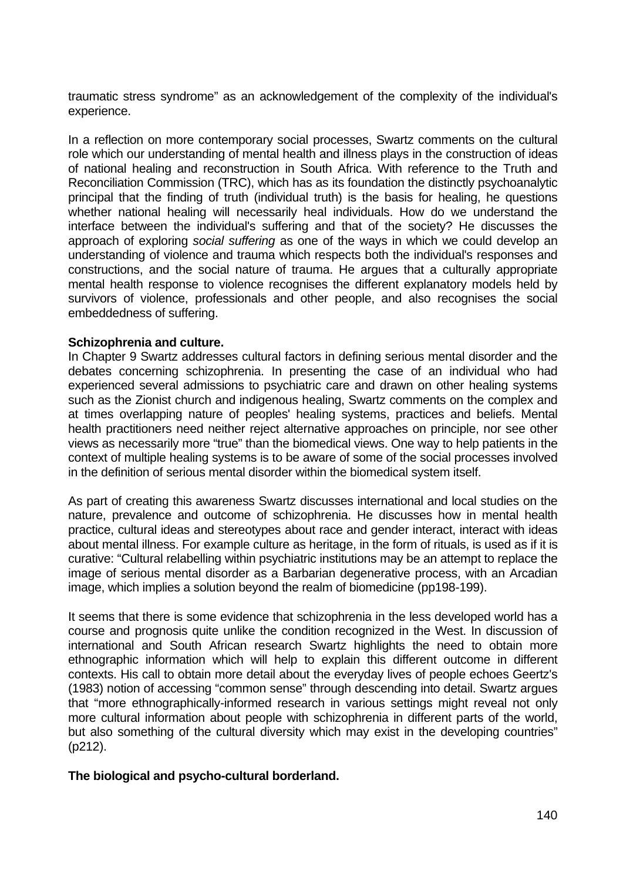traumatic stress syndrome" as an acknowledgement of the complexity of the individual's experience.

In a reflection on more contemporary social processes, Swartz comments on the cultural role which our understanding of mental health and illness plays in the construction of ideas of national healing and reconstruction in South Africa. With reference to the Truth and Reconciliation Commission (TRC), which has as its foundation the distinctly psychoanalytic principal that the finding of truth (individual truth) is the basis for healing, he questions whether national healing will necessarily heal individuals. How do we understand the interface between the individual's suffering and that of the society? He discusses the approach of exploring *social suffering* as one of the ways in which we could develop an understanding of violence and trauma which respects both the individual's responses and constructions, and the social nature of trauma. He argues that a culturally appropriate mental health response to violence recognises the different explanatory models held by survivors of violence, professionals and other people, and also recognises the social embeddedness of suffering.

#### **Schizophrenia and culture.**

In Chapter 9 Swartz addresses cultural factors in defining serious mental disorder and the debates concerning schizophrenia. In presenting the case of an individual who had experienced several admissions to psychiatric care and drawn on other healing systems such as the Zionist church and indigenous healing, Swartz comments on the complex and at times overlapping nature of peoples' healing systems, practices and beliefs. Mental health practitioners need neither reject alternative approaches on principle, nor see other views as necessarily more "true" than the biomedical views. One way to help patients in the context of multiple healing systems is to be aware of some of the social processes involved in the definition of serious mental disorder within the biomedical system itself.

As part of creating this awareness Swartz discusses international and local studies on the nature, prevalence and outcome of schizophrenia. He discusses how in mental health practice, cultural ideas and stereotypes about race and gender interact, interact with ideas about mental illness. For example culture as heritage, in the form of rituals, is used as if it is curative: "Cultural relabelling within psychiatric institutions may be an attempt to replace the image of serious mental disorder as a Barbarian degenerative process, with an Arcadian image, which implies a solution beyond the realm of biomedicine (pp198-199).

It seems that there is some evidence that schizophrenia in the less developed world has a course and prognosis quite unlike the condition recognized in the West. In discussion of international and South African research Swartz highlights the need to obtain more ethnographic information which will help to explain this different outcome in different contexts. His call to obtain more detail about the everyday lives of people echoes Geertz's (1983) notion of accessing "common sense" through descending into detail. Swartz argues that "more ethnographically-informed research in various settings might reveal not only more cultural information about people with schizophrenia in different parts of the world, but also something of the cultural diversity which may exist in the developing countries" (p212).

## **The biological and psycho-cultural borderland.**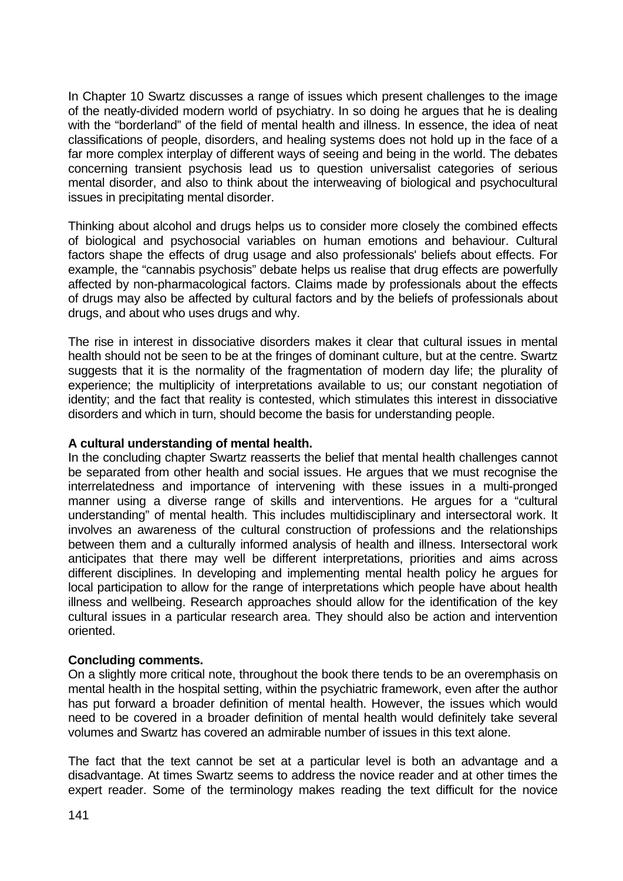In Chapter 10 Swartz discusses a range of issues which present challenges to the image of the neatly-divided modern world of psychiatry. In so doing he argues that he is dealing with the "borderland" of the field of mental health and illness. In essence, the idea of neat classifications of people, disorders, and healing systems does not hold up in the face of a far more complex interplay of different ways of seeing and being in the world. The debates concerning transient psychosis lead us to question universalist categories of serious mental disorder, and also to think about the interweaving of biological and psychocultural issues in precipitating mental disorder.

Thinking about alcohol and drugs helps us to consider more closely the combined effects of biological and psychosocial variables on human emotions and behaviour. Cultural factors shape the effects of drug usage and also professionals' beliefs about effects. For example, the "cannabis psychosis" debate helps us realise that drug effects are powerfully affected by non-pharmacological factors. Claims made by professionals about the effects of drugs may also be affected by cultural factors and by the beliefs of professionals about drugs, and about who uses drugs and why.

The rise in interest in dissociative disorders makes it clear that cultural issues in mental health should not be seen to be at the fringes of dominant culture, but at the centre. Swartz suggests that it is the normality of the fragmentation of modern day life; the plurality of experience; the multiplicity of interpretations available to us; our constant negotiation of identity; and the fact that reality is contested, which stimulates this interest in dissociative disorders and which in turn, should become the basis for understanding people.

#### **A cultural understanding of mental health.**

In the concluding chapter Swartz reasserts the belief that mental health challenges cannot be separated from other health and social issues. He argues that we must recognise the interrelatedness and importance of intervening with these issues in a multi-pronged manner using a diverse range of skills and interventions. He argues for a "cultural understanding" of mental health. This includes multidisciplinary and intersectoral work. It involves an awareness of the cultural construction of professions and the relationships between them and a culturally informed analysis of health and illness. Intersectoral work anticipates that there may well be different interpretations, priorities and aims across different disciplines. In developing and implementing mental health policy he argues for local participation to allow for the range of interpretations which people have about health illness and wellbeing. Research approaches should allow for the identification of the key cultural issues in a particular research area. They should also be action and intervention oriented.

## **Concluding comments.**

On a slightly more critical note, throughout the book there tends to be an overemphasis on mental health in the hospital setting, within the psychiatric framework, even after the author has put forward a broader definition of mental health. However, the issues which would need to be covered in a broader definition of mental health would definitely take several volumes and Swartz has covered an admirable number of issues in this text alone.

The fact that the text cannot be set at a particular level is both an advantage and a disadvantage. At times Swartz seems to address the novice reader and at other times the expert reader. Some of the terminology makes reading the text difficult for the novice